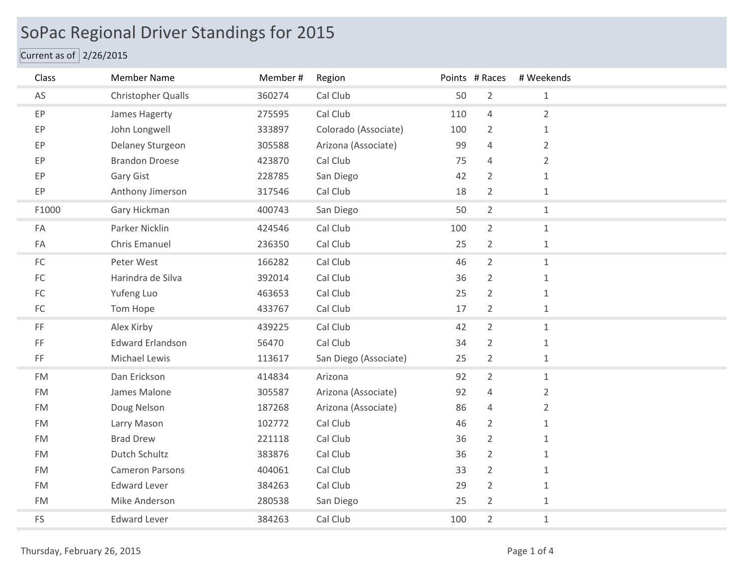## SoPac Regional Driver Standings for 2015

## Current as of 2/26/2015

| Class               | <b>Member Name</b>        | Member # | Region                |     | Points # Races | # Weekends     |  |
|---------------------|---------------------------|----------|-----------------------|-----|----------------|----------------|--|
| AS                  | <b>Christopher Qualls</b> | 360274   | Cal Club              | 50  | $\overline{2}$ | $\mathbf{1}$   |  |
| EP                  | James Hagerty             | 275595   | Cal Club              | 110 | $\overline{4}$ | $\overline{2}$ |  |
| EP                  | John Longwell             | 333897   | Colorado (Associate)  | 100 | $\overline{2}$ | $\mathbf{1}$   |  |
| EP                  | Delaney Sturgeon          | 305588   | Arizona (Associate)   | 99  | $\overline{4}$ | $\overline{2}$ |  |
| EP                  | <b>Brandon Droese</b>     | 423870   | Cal Club              | 75  | $\overline{4}$ | $\overline{2}$ |  |
| EP                  | Gary Gist                 | 228785   | San Diego             | 42  | $\overline{2}$ | $\mathbf{1}$   |  |
| EP                  | Anthony Jimerson          | 317546   | Cal Club              | 18  | $\overline{2}$ | $\mathbf{1}$   |  |
| F1000               | Gary Hickman              | 400743   | San Diego             | 50  | $\overline{2}$ | $\mathbf{1}$   |  |
| FA                  | Parker Nicklin            | 424546   | Cal Club              | 100 | $\overline{2}$ | $\mathbf{1}$   |  |
| FA                  | Chris Emanuel             | 236350   | Cal Club              | 25  | $\overline{2}$ | $\mathbf{1}$   |  |
| ${\sf FC}$          | Peter West                | 166282   | Cal Club              | 46  | $\overline{2}$ | $\mathbf{1}$   |  |
| $\mathsf{FC}$       | Harindra de Silva         | 392014   | Cal Club              | 36  | $\overline{2}$ | $\mathbf{1}$   |  |
| ${\sf FC}$          | Yufeng Luo                | 463653   | Cal Club              | 25  | $\overline{2}$ | $\mathbf{1}$   |  |
| ${\sf FC}$          | Tom Hope                  | 433767   | Cal Club              | 17  | $\overline{2}$ | $\mathbf{1}$   |  |
| $\mathsf{FF}% _{0}$ | Alex Kirby                | 439225   | Cal Club              | 42  | $\overline{2}$ | $\mathbf{1}$   |  |
| $\mathsf{FF}% _{0}$ | <b>Edward Erlandson</b>   | 56470    | Cal Club              | 34  | $\overline{2}$ | $\mathbf{1}$   |  |
| $\mathsf{FF}% _{0}$ | Michael Lewis             | 113617   | San Diego (Associate) | 25  | $\overline{2}$ | $\mathbf{1}$   |  |
| <b>FM</b>           | Dan Erickson              | 414834   | Arizona               | 92  | $\overline{2}$ | $\mathbf{1}$   |  |
| <b>FM</b>           | James Malone              | 305587   | Arizona (Associate)   | 92  | $\overline{4}$ | $\overline{2}$ |  |
| <b>FM</b>           | Doug Nelson               | 187268   | Arizona (Associate)   | 86  | $\overline{4}$ | $\overline{2}$ |  |
| <b>FM</b>           | Larry Mason               | 102772   | Cal Club              | 46  | $\overline{2}$ | $\mathbf{1}$   |  |
| <b>FM</b>           | <b>Brad Drew</b>          | 221118   | Cal Club              | 36  | $\overline{2}$ | $\mathbf{1}$   |  |
| <b>FM</b>           | Dutch Schultz             | 383876   | Cal Club              | 36  | $\overline{2}$ | $\mathbf{1}$   |  |
| <b>FM</b>           | <b>Cameron Parsons</b>    | 404061   | Cal Club              | 33  | $\overline{2}$ | $\mathbf 1$    |  |
| <b>FM</b>           | <b>Edward Lever</b>       | 384263   | Cal Club              | 29  | $\overline{2}$ | $\mathbf{1}$   |  |
| <b>FM</b>           | Mike Anderson             | 280538   | San Diego             | 25  | $\overline{2}$ | $\mathbf{1}$   |  |
| FS                  | <b>Edward Lever</b>       | 384263   | Cal Club              | 100 | $\overline{2}$ | $\mathbf 1$    |  |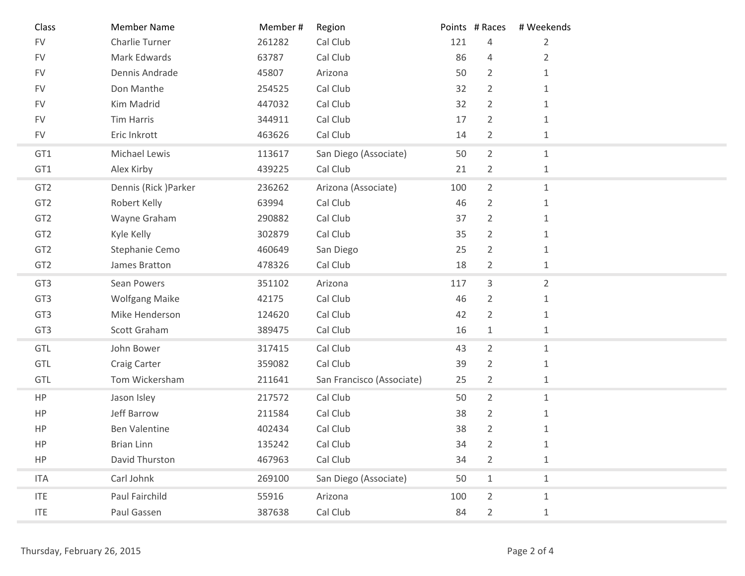| Class           | <b>Member Name</b>    | Member# | Region                    |     | Points # Races | # Weekends     |
|-----------------|-----------------------|---------|---------------------------|-----|----------------|----------------|
| ${\sf FV}$      | Charlie Turner        | 261282  | Cal Club                  | 121 | 4              | $\overline{2}$ |
| <b>FV</b>       | Mark Edwards          | 63787   | Cal Club                  | 86  | $\overline{4}$ | $\overline{2}$ |
| <b>FV</b>       | Dennis Andrade        | 45807   | Arizona                   | 50  | $\overline{2}$ | $\mathbf{1}$   |
| <b>FV</b>       | Don Manthe            | 254525  | Cal Club                  | 32  | $\overline{2}$ | 1              |
| <b>FV</b>       | Kim Madrid            | 447032  | Cal Club                  | 32  | $\overline{2}$ | $\mathbf{1}$   |
| <b>FV</b>       | <b>Tim Harris</b>     | 344911  | Cal Club                  | 17  | $\overline{2}$ | 1              |
| <b>FV</b>       | Eric Inkrott          | 463626  | Cal Club                  | 14  | $\overline{2}$ | 1              |
| GT1             | Michael Lewis         | 113617  | San Diego (Associate)     | 50  | $\overline{2}$ | $\mathbf{1}$   |
| GT1             | Alex Kirby            | 439225  | Cal Club                  | 21  | $\overline{2}$ | $\mathbf{1}$   |
| GT <sub>2</sub> | Dennis (Rick) Parker  | 236262  | Arizona (Associate)       | 100 | $\overline{2}$ | $\mathbf{1}$   |
| GT <sub>2</sub> | Robert Kelly          | 63994   | Cal Club                  | 46  | $\overline{2}$ | $\mathbf{1}$   |
| GT <sub>2</sub> | Wayne Graham          | 290882  | Cal Club                  | 37  | $\overline{2}$ | 1              |
| GT <sub>2</sub> | Kyle Kelly            | 302879  | Cal Club                  | 35  | $\overline{2}$ | $\mathbf{1}$   |
| GT <sub>2</sub> | Stephanie Cemo        | 460649  | San Diego                 | 25  | $\overline{2}$ | 1              |
| GT <sub>2</sub> | James Bratton         | 478326  | Cal Club                  | 18  | $\overline{2}$ | $\mathbf{1}$   |
| GT <sub>3</sub> | Sean Powers           | 351102  | Arizona                   | 117 | 3              | $\overline{2}$ |
| GT <sub>3</sub> | <b>Wolfgang Maike</b> | 42175   | Cal Club                  | 46  | $\overline{2}$ | $\mathbf{1}$   |
| GT <sub>3</sub> | Mike Henderson        | 124620  | Cal Club                  | 42  | $\overline{2}$ | $\mathbf{1}$   |
| GT3             | Scott Graham          | 389475  | Cal Club                  | 16  | $\mathbf{1}$   | $\mathbf{1}$   |
| GTL             | John Bower            | 317415  | Cal Club                  | 43  | $\overline{2}$ | $\mathbf{1}$   |
| GTL             | Craig Carter          | 359082  | Cal Club                  | 39  | $\overline{2}$ | $\mathbf{1}$   |
| GTL             | Tom Wickersham        | 211641  | San Francisco (Associate) | 25  | $\overline{2}$ | $\mathbf{1}$   |
| HP              | Jason Isley           | 217572  | Cal Club                  | 50  | $\overline{2}$ | $\mathbf{1}$   |
| HP              | Jeff Barrow           | 211584  | Cal Club                  | 38  | $\overline{2}$ | $\mathbf{1}$   |
| HP              | <b>Ben Valentine</b>  | 402434  | Cal Club                  | 38  | $\overline{2}$ | $\mathbf{1}$   |
| HP              | <b>Brian Linn</b>     | 135242  | Cal Club                  | 34  | $\overline{2}$ | $\mathbf{1}$   |
| HP              | David Thurston        | 467963  | Cal Club                  | 34  | $\overline{2}$ | $\mathbf 1$    |
| <b>ITA</b>      | Carl Johnk            | 269100  | San Diego (Associate)     | 50  | $\mathbf{1}$   | $\mathbf{1}$   |
| <b>ITE</b>      | Paul Fairchild        | 55916   | Arizona                   | 100 | $\overline{2}$ | $\mathbf{1}$   |
| <b>ITE</b>      | Paul Gassen           | 387638  | Cal Club                  | 84  | $\overline{2}$ | $\mathbf{1}$   |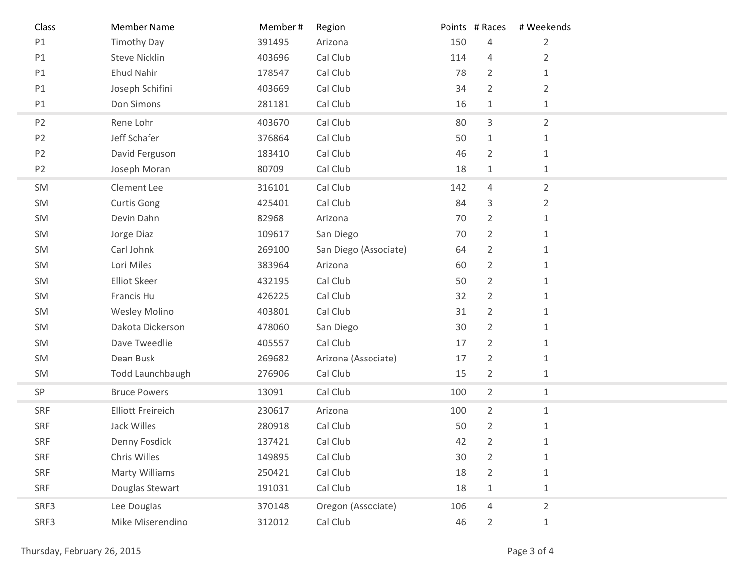| Class          | <b>Member Name</b>       | Member# | Region                |     | Points # Races | # Weekends     |
|----------------|--------------------------|---------|-----------------------|-----|----------------|----------------|
| P1             | <b>Timothy Day</b>       | 391495  | Arizona               | 150 | $\overline{4}$ | $\overline{2}$ |
| P1             | <b>Steve Nicklin</b>     | 403696  | Cal Club              | 114 | 4              | $\overline{2}$ |
| P1             | <b>Ehud Nahir</b>        | 178547  | Cal Club              | 78  | $\overline{2}$ | 1              |
| P1             | Joseph Schifini          | 403669  | Cal Club              | 34  | $\overline{2}$ | $\overline{2}$ |
| P1             | Don Simons               | 281181  | Cal Club              | 16  | $\mathbf{1}$   | $1\,$          |
| P <sub>2</sub> | Rene Lohr                | 403670  | Cal Club              | 80  | 3              | $\overline{2}$ |
| P <sub>2</sub> | Jeff Schafer             | 376864  | Cal Club              | 50  | $\mathbf{1}$   | $1\,$          |
| P <sub>2</sub> | David Ferguson           | 183410  | Cal Club              | 46  | $\overline{2}$ | $\mathbf{1}$   |
| P <sub>2</sub> | Joseph Moran             | 80709   | Cal Club              | 18  | $\mathbf{1}$   | $1\,$          |
| SM             | Clement Lee              | 316101  | Cal Club              | 142 | $\overline{4}$ | $\overline{2}$ |
| SM             | <b>Curtis Gong</b>       | 425401  | Cal Club              | 84  | 3              | $\overline{2}$ |
| SM             | Devin Dahn               | 82968   | Arizona               | 70  | $\overline{2}$ | $\mathbf{1}$   |
| SM             | Jorge Diaz               | 109617  | San Diego             | 70  | $\overline{2}$ | $\mathbf{1}$   |
| SM             | Carl Johnk               | 269100  | San Diego (Associate) | 64  | $\overline{2}$ | 1              |
| SM             | Lori Miles               | 383964  | Arizona               | 60  | $\overline{2}$ | 1              |
| SM             | <b>Elliot Skeer</b>      | 432195  | Cal Club              | 50  | $\overline{2}$ | 1              |
| SM             | Francis Hu               | 426225  | Cal Club              | 32  | $\overline{2}$ | $\mathbf{1}$   |
| SM             | <b>Wesley Molino</b>     | 403801  | Cal Club              | 31  | $\overline{2}$ | 1              |
| SM             | Dakota Dickerson         | 478060  | San Diego             | 30  | $\overline{2}$ | 1              |
| SM             | Dave Tweedlie            | 405557  | Cal Club              | 17  | $\overline{2}$ | 1              |
| SM             | Dean Busk                | 269682  | Arizona (Associate)   | 17  | $\overline{2}$ | $\mathbf{1}$   |
| SM             | Todd Launchbaugh         | 276906  | Cal Club              | 15  | $\overline{2}$ | $\mathbf{1}$   |
| SP             | <b>Bruce Powers</b>      | 13091   | Cal Club              | 100 | $\overline{2}$ | $1\,$          |
| SRF            | <b>Elliott Freireich</b> | 230617  | Arizona               | 100 | $\overline{2}$ | $\mathbf{1}$   |
| SRF            | Jack Willes              | 280918  | Cal Club              | 50  | $\overline{2}$ | $1\,$          |
| SRF            | Denny Fosdick            | 137421  | Cal Club              | 42  | $\overline{2}$ | 1              |
| SRF            | Chris Willes             | 149895  | Cal Club              | 30  | $\overline{2}$ | $\mathbf{1}$   |
| SRF            | Marty Williams           | 250421  | Cal Club              | 18  | $\overline{2}$ | $\mathbf{1}$   |
| SRF            | Douglas Stewart          | 191031  | Cal Club              | 18  | $\mathbf{1}$   | $1\,$          |
| SRF3           | Lee Douglas              | 370148  | Oregon (Associate)    | 106 | 4              | $\overline{2}$ |
| SRF3           | Mike Miserendino         | 312012  | Cal Club              | 46  | $\overline{2}$ | $\mathbf{1}$   |